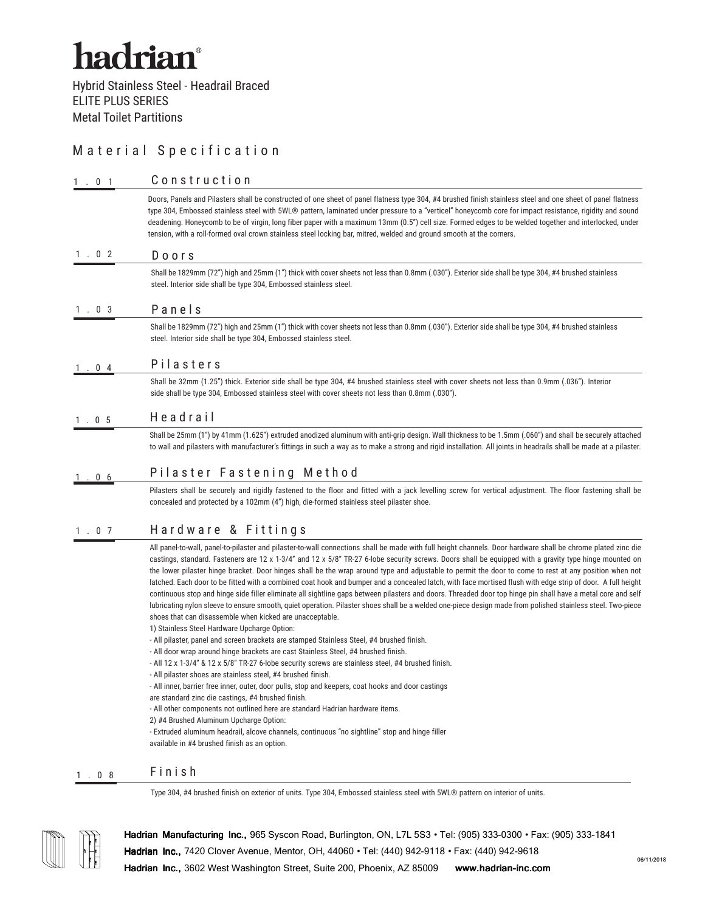## Material Specification

| Doors, Panels and Pilasters shall be constructed of one sheet of panel flatness type 304, #4 brushed finish stainless steel and one sheet of panel flatness<br>type 304, Embossed stainless steel with 5WL® pattern, laminated under pressure to a "verticel" honeycomb core for impact resistance, rigidity and sound<br>deadening. Honeycomb to be of virgin, long fiber paper with a maximum 13mm (0.5") cell size. Formed edges to be welded together and interlocked, under<br>tension, with a roll-formed oval crown stainless steel locking bar, mitred, welded and ground smooth at the corners.<br>1.02<br>Doors<br>Shall be 1829mm (72") high and 25mm (1") thick with cover sheets not less than 0.8mm (.030"). Exterior side shall be type 304, #4 brushed stainless<br>steel. Interior side shall be type 304, Embossed stainless steel.<br>Panels<br>1.03<br>Shall be 1829mm (72") high and 25mm (1") thick with cover sheets not less than 0.8mm (.030"). Exterior side shall be type 304, #4 brushed stainless<br>steel. Interior side shall be type 304, Embossed stainless steel.<br>Pilasters<br>. 04<br>Shall be 32mm (1.25") thick. Exterior side shall be type 304, #4 brushed stainless steel with cover sheets not less than 0.9mm (.036"). Interior<br>side shall be type 304, Embossed stainless steel with cover sheets not less than 0.8mm (.030").<br>Headrail<br>1.05<br>Shall be 25mm (1") by 41mm (1.625") extruded anodized aluminum with anti-grip design. Wall thickness to be 1.5mm (.060") and shall be securely attached<br>to wall and pilasters with manufacturer's fittings in such a way as to make a strong and rigid installation. All joints in headrails shall be made at a pilaster.<br>Pilaster Fastening Method<br>. 06<br>Pilasters shall be securely and rigidly fastened to the floor and fitted with a jack levelling screw for vertical adjustment. The floor fastening shall be<br>concealed and protected by a 102mm (4") high, die-formed stainless steel pilaster shoe.<br>Hardware & Fittings<br>1.07<br>All panel-to-wall, panel-to-pilaster and pilaster-to-wall connections shall be made with full height channels. Door hardware shall be chrome plated zinc die<br>castings, standard. Fasteners are 12 x 1-3/4" and 12 x 5/8" TR-27 6-lobe security screws. Doors shall be equipped with a gravity type hinge mounted on<br>the lower pilaster hinge bracket. Door hinges shall be the wrap around type and adjustable to permit the door to come to rest at any position when not<br>latched. Each door to be fitted with a combined coat hook and bumper and a concealed latch, with face mortised flush with edge strip of door. A full height<br>continuous stop and hinge side filler eliminate all sightline gaps between pilasters and doors. Threaded door top hinge pin shall have a metal core and self<br>lubricating nylon sleeve to ensure smooth, quiet operation. Pilaster shoes shall be a welded one-piece design made from polished stainless steel. Two-piece<br>shoes that can disassemble when kicked are unacceptable.<br>1) Stainless Steel Hardware Upcharge Option:<br>- All pilaster, panel and screen brackets are stamped Stainless Steel, #4 brushed finish.<br>- All door wrap around hinge brackets are cast Stainless Steel, #4 brushed finish.<br>- All 12 x 1-3/4" & 12 x 5/8" TR-27 6-lobe security screws are stainless steel, #4 brushed finish.<br>- All pilaster shoes are stainless steel, #4 brushed finish.<br>- All inner, barrier free inner, outer, door pulls, stop and keepers, coat hooks and door castings<br>are standard zinc die castings, #4 brushed finish.<br>- All other components not outlined here are standard Hadrian hardware items.<br>2) #4 Brushed Aluminum Upcharge Option:<br>- Extruded aluminum headrail, alcove channels, continuous "no sightline" stop and hinge filler<br>available in #4 brushed finish as an option.<br>Finish<br>1.08 |                                                                                                                              |
|-------------------------------------------------------------------------------------------------------------------------------------------------------------------------------------------------------------------------------------------------------------------------------------------------------------------------------------------------------------------------------------------------------------------------------------------------------------------------------------------------------------------------------------------------------------------------------------------------------------------------------------------------------------------------------------------------------------------------------------------------------------------------------------------------------------------------------------------------------------------------------------------------------------------------------------------------------------------------------------------------------------------------------------------------------------------------------------------------------------------------------------------------------------------------------------------------------------------------------------------------------------------------------------------------------------------------------------------------------------------------------------------------------------------------------------------------------------------------------------------------------------------------------------------------------------------------------------------------------------------------------------------------------------------------------------------------------------------------------------------------------------------------------------------------------------------------------------------------------------------------------------------------------------------------------------------------------------------------------------------------------------------------------------------------------------------------------------------------------------------------------------------------------------------------------------------------------------------------------------------------------------------------------------------------------------------------------------------------------------------------------------------------------------------------------------------------------------------------------------------------------------------------------------------------------------------------------------------------------------------------------------------------------------------------------------------------------------------------------------------------------------------------------------------------------------------------------------------------------------------------------------------------------------------------------------------------------------------------------------------------------------------------------------------------------------------------------------------------------------------------------------------------------------------------------------------------------------------------------------------------------------------------------------------------------------------------------------------------------------------------------------------------------------------------------------------------------------------------------------------------------------------------------------------------------------------------------------------------------------------------------------------------------------------------------------------------------------------------------------------------------------------------------------------------------------------------------------------------------------------------------------------------------------------------------------------------------------------------------------|------------------------------------------------------------------------------------------------------------------------------|
|                                                                                                                                                                                                                                                                                                                                                                                                                                                                                                                                                                                                                                                                                                                                                                                                                                                                                                                                                                                                                                                                                                                                                                                                                                                                                                                                                                                                                                                                                                                                                                                                                                                                                                                                                                                                                                                                                                                                                                                                                                                                                                                                                                                                                                                                                                                                                                                                                                                                                                                                                                                                                                                                                                                                                                                                                                                                                                                                                                                                                                                                                                                                                                                                                                                                                                                                                                                                                                                                                                                                                                                                                                                                                                                                                                                                                                                                                                                                                                                     | Type 304, #4 brushed finish on exterior of units. Type 304, Embossed stainless steel with 5WL® pattern on interior of units. |
|                                                                                                                                                                                                                                                                                                                                                                                                                                                                                                                                                                                                                                                                                                                                                                                                                                                                                                                                                                                                                                                                                                                                                                                                                                                                                                                                                                                                                                                                                                                                                                                                                                                                                                                                                                                                                                                                                                                                                                                                                                                                                                                                                                                                                                                                                                                                                                                                                                                                                                                                                                                                                                                                                                                                                                                                                                                                                                                                                                                                                                                                                                                                                                                                                                                                                                                                                                                                                                                                                                                                                                                                                                                                                                                                                                                                                                                                                                                                                                                     |                                                                                                                              |
|                                                                                                                                                                                                                                                                                                                                                                                                                                                                                                                                                                                                                                                                                                                                                                                                                                                                                                                                                                                                                                                                                                                                                                                                                                                                                                                                                                                                                                                                                                                                                                                                                                                                                                                                                                                                                                                                                                                                                                                                                                                                                                                                                                                                                                                                                                                                                                                                                                                                                                                                                                                                                                                                                                                                                                                                                                                                                                                                                                                                                                                                                                                                                                                                                                                                                                                                                                                                                                                                                                                                                                                                                                                                                                                                                                                                                                                                                                                                                                                     |                                                                                                                              |
|                                                                                                                                                                                                                                                                                                                                                                                                                                                                                                                                                                                                                                                                                                                                                                                                                                                                                                                                                                                                                                                                                                                                                                                                                                                                                                                                                                                                                                                                                                                                                                                                                                                                                                                                                                                                                                                                                                                                                                                                                                                                                                                                                                                                                                                                                                                                                                                                                                                                                                                                                                                                                                                                                                                                                                                                                                                                                                                                                                                                                                                                                                                                                                                                                                                                                                                                                                                                                                                                                                                                                                                                                                                                                                                                                                                                                                                                                                                                                                                     |                                                                                                                              |
|                                                                                                                                                                                                                                                                                                                                                                                                                                                                                                                                                                                                                                                                                                                                                                                                                                                                                                                                                                                                                                                                                                                                                                                                                                                                                                                                                                                                                                                                                                                                                                                                                                                                                                                                                                                                                                                                                                                                                                                                                                                                                                                                                                                                                                                                                                                                                                                                                                                                                                                                                                                                                                                                                                                                                                                                                                                                                                                                                                                                                                                                                                                                                                                                                                                                                                                                                                                                                                                                                                                                                                                                                                                                                                                                                                                                                                                                                                                                                                                     |                                                                                                                              |
|                                                                                                                                                                                                                                                                                                                                                                                                                                                                                                                                                                                                                                                                                                                                                                                                                                                                                                                                                                                                                                                                                                                                                                                                                                                                                                                                                                                                                                                                                                                                                                                                                                                                                                                                                                                                                                                                                                                                                                                                                                                                                                                                                                                                                                                                                                                                                                                                                                                                                                                                                                                                                                                                                                                                                                                                                                                                                                                                                                                                                                                                                                                                                                                                                                                                                                                                                                                                                                                                                                                                                                                                                                                                                                                                                                                                                                                                                                                                                                                     |                                                                                                                              |
|                                                                                                                                                                                                                                                                                                                                                                                                                                                                                                                                                                                                                                                                                                                                                                                                                                                                                                                                                                                                                                                                                                                                                                                                                                                                                                                                                                                                                                                                                                                                                                                                                                                                                                                                                                                                                                                                                                                                                                                                                                                                                                                                                                                                                                                                                                                                                                                                                                                                                                                                                                                                                                                                                                                                                                                                                                                                                                                                                                                                                                                                                                                                                                                                                                                                                                                                                                                                                                                                                                                                                                                                                                                                                                                                                                                                                                                                                                                                                                                     |                                                                                                                              |
|                                                                                                                                                                                                                                                                                                                                                                                                                                                                                                                                                                                                                                                                                                                                                                                                                                                                                                                                                                                                                                                                                                                                                                                                                                                                                                                                                                                                                                                                                                                                                                                                                                                                                                                                                                                                                                                                                                                                                                                                                                                                                                                                                                                                                                                                                                                                                                                                                                                                                                                                                                                                                                                                                                                                                                                                                                                                                                                                                                                                                                                                                                                                                                                                                                                                                                                                                                                                                                                                                                                                                                                                                                                                                                                                                                                                                                                                                                                                                                                     |                                                                                                                              |
|                                                                                                                                                                                                                                                                                                                                                                                                                                                                                                                                                                                                                                                                                                                                                                                                                                                                                                                                                                                                                                                                                                                                                                                                                                                                                                                                                                                                                                                                                                                                                                                                                                                                                                                                                                                                                                                                                                                                                                                                                                                                                                                                                                                                                                                                                                                                                                                                                                                                                                                                                                                                                                                                                                                                                                                                                                                                                                                                                                                                                                                                                                                                                                                                                                                                                                                                                                                                                                                                                                                                                                                                                                                                                                                                                                                                                                                                                                                                                                                     |                                                                                                                              |
|                                                                                                                                                                                                                                                                                                                                                                                                                                                                                                                                                                                                                                                                                                                                                                                                                                                                                                                                                                                                                                                                                                                                                                                                                                                                                                                                                                                                                                                                                                                                                                                                                                                                                                                                                                                                                                                                                                                                                                                                                                                                                                                                                                                                                                                                                                                                                                                                                                                                                                                                                                                                                                                                                                                                                                                                                                                                                                                                                                                                                                                                                                                                                                                                                                                                                                                                                                                                                                                                                                                                                                                                                                                                                                                                                                                                                                                                                                                                                                                     |                                                                                                                              |
|                                                                                                                                                                                                                                                                                                                                                                                                                                                                                                                                                                                                                                                                                                                                                                                                                                                                                                                                                                                                                                                                                                                                                                                                                                                                                                                                                                                                                                                                                                                                                                                                                                                                                                                                                                                                                                                                                                                                                                                                                                                                                                                                                                                                                                                                                                                                                                                                                                                                                                                                                                                                                                                                                                                                                                                                                                                                                                                                                                                                                                                                                                                                                                                                                                                                                                                                                                                                                                                                                                                                                                                                                                                                                                                                                                                                                                                                                                                                                                                     |                                                                                                                              |
|                                                                                                                                                                                                                                                                                                                                                                                                                                                                                                                                                                                                                                                                                                                                                                                                                                                                                                                                                                                                                                                                                                                                                                                                                                                                                                                                                                                                                                                                                                                                                                                                                                                                                                                                                                                                                                                                                                                                                                                                                                                                                                                                                                                                                                                                                                                                                                                                                                                                                                                                                                                                                                                                                                                                                                                                                                                                                                                                                                                                                                                                                                                                                                                                                                                                                                                                                                                                                                                                                                                                                                                                                                                                                                                                                                                                                                                                                                                                                                                     |                                                                                                                              |
|                                                                                                                                                                                                                                                                                                                                                                                                                                                                                                                                                                                                                                                                                                                                                                                                                                                                                                                                                                                                                                                                                                                                                                                                                                                                                                                                                                                                                                                                                                                                                                                                                                                                                                                                                                                                                                                                                                                                                                                                                                                                                                                                                                                                                                                                                                                                                                                                                                                                                                                                                                                                                                                                                                                                                                                                                                                                                                                                                                                                                                                                                                                                                                                                                                                                                                                                                                                                                                                                                                                                                                                                                                                                                                                                                                                                                                                                                                                                                                                     |                                                                                                                              |
|                                                                                                                                                                                                                                                                                                                                                                                                                                                                                                                                                                                                                                                                                                                                                                                                                                                                                                                                                                                                                                                                                                                                                                                                                                                                                                                                                                                                                                                                                                                                                                                                                                                                                                                                                                                                                                                                                                                                                                                                                                                                                                                                                                                                                                                                                                                                                                                                                                                                                                                                                                                                                                                                                                                                                                                                                                                                                                                                                                                                                                                                                                                                                                                                                                                                                                                                                                                                                                                                                                                                                                                                                                                                                                                                                                                                                                                                                                                                                                                     |                                                                                                                              |
|                                                                                                                                                                                                                                                                                                                                                                                                                                                                                                                                                                                                                                                                                                                                                                                                                                                                                                                                                                                                                                                                                                                                                                                                                                                                                                                                                                                                                                                                                                                                                                                                                                                                                                                                                                                                                                                                                                                                                                                                                                                                                                                                                                                                                                                                                                                                                                                                                                                                                                                                                                                                                                                                                                                                                                                                                                                                                                                                                                                                                                                                                                                                                                                                                                                                                                                                                                                                                                                                                                                                                                                                                                                                                                                                                                                                                                                                                                                                                                                     |                                                                                                                              |
|                                                                                                                                                                                                                                                                                                                                                                                                                                                                                                                                                                                                                                                                                                                                                                                                                                                                                                                                                                                                                                                                                                                                                                                                                                                                                                                                                                                                                                                                                                                                                                                                                                                                                                                                                                                                                                                                                                                                                                                                                                                                                                                                                                                                                                                                                                                                                                                                                                                                                                                                                                                                                                                                                                                                                                                                                                                                                                                                                                                                                                                                                                                                                                                                                                                                                                                                                                                                                                                                                                                                                                                                                                                                                                                                                                                                                                                                                                                                                                                     |                                                                                                                              |
|                                                                                                                                                                                                                                                                                                                                                                                                                                                                                                                                                                                                                                                                                                                                                                                                                                                                                                                                                                                                                                                                                                                                                                                                                                                                                                                                                                                                                                                                                                                                                                                                                                                                                                                                                                                                                                                                                                                                                                                                                                                                                                                                                                                                                                                                                                                                                                                                                                                                                                                                                                                                                                                                                                                                                                                                                                                                                                                                                                                                                                                                                                                                                                                                                                                                                                                                                                                                                                                                                                                                                                                                                                                                                                                                                                                                                                                                                                                                                                                     |                                                                                                                              |
|                                                                                                                                                                                                                                                                                                                                                                                                                                                                                                                                                                                                                                                                                                                                                                                                                                                                                                                                                                                                                                                                                                                                                                                                                                                                                                                                                                                                                                                                                                                                                                                                                                                                                                                                                                                                                                                                                                                                                                                                                                                                                                                                                                                                                                                                                                                                                                                                                                                                                                                                                                                                                                                                                                                                                                                                                                                                                                                                                                                                                                                                                                                                                                                                                                                                                                                                                                                                                                                                                                                                                                                                                                                                                                                                                                                                                                                                                                                                                                                     |                                                                                                                              |
|                                                                                                                                                                                                                                                                                                                                                                                                                                                                                                                                                                                                                                                                                                                                                                                                                                                                                                                                                                                                                                                                                                                                                                                                                                                                                                                                                                                                                                                                                                                                                                                                                                                                                                                                                                                                                                                                                                                                                                                                                                                                                                                                                                                                                                                                                                                                                                                                                                                                                                                                                                                                                                                                                                                                                                                                                                                                                                                                                                                                                                                                                                                                                                                                                                                                                                                                                                                                                                                                                                                                                                                                                                                                                                                                                                                                                                                                                                                                                                                     |                                                                                                                              |
|                                                                                                                                                                                                                                                                                                                                                                                                                                                                                                                                                                                                                                                                                                                                                                                                                                                                                                                                                                                                                                                                                                                                                                                                                                                                                                                                                                                                                                                                                                                                                                                                                                                                                                                                                                                                                                                                                                                                                                                                                                                                                                                                                                                                                                                                                                                                                                                                                                                                                                                                                                                                                                                                                                                                                                                                                                                                                                                                                                                                                                                                                                                                                                                                                                                                                                                                                                                                                                                                                                                                                                                                                                                                                                                                                                                                                                                                                                                                                                                     |                                                                                                                              |
|                                                                                                                                                                                                                                                                                                                                                                                                                                                                                                                                                                                                                                                                                                                                                                                                                                                                                                                                                                                                                                                                                                                                                                                                                                                                                                                                                                                                                                                                                                                                                                                                                                                                                                                                                                                                                                                                                                                                                                                                                                                                                                                                                                                                                                                                                                                                                                                                                                                                                                                                                                                                                                                                                                                                                                                                                                                                                                                                                                                                                                                                                                                                                                                                                                                                                                                                                                                                                                                                                                                                                                                                                                                                                                                                                                                                                                                                                                                                                                                     |                                                                                                                              |
|                                                                                                                                                                                                                                                                                                                                                                                                                                                                                                                                                                                                                                                                                                                                                                                                                                                                                                                                                                                                                                                                                                                                                                                                                                                                                                                                                                                                                                                                                                                                                                                                                                                                                                                                                                                                                                                                                                                                                                                                                                                                                                                                                                                                                                                                                                                                                                                                                                                                                                                                                                                                                                                                                                                                                                                                                                                                                                                                                                                                                                                                                                                                                                                                                                                                                                                                                                                                                                                                                                                                                                                                                                                                                                                                                                                                                                                                                                                                                                                     |                                                                                                                              |
|                                                                                                                                                                                                                                                                                                                                                                                                                                                                                                                                                                                                                                                                                                                                                                                                                                                                                                                                                                                                                                                                                                                                                                                                                                                                                                                                                                                                                                                                                                                                                                                                                                                                                                                                                                                                                                                                                                                                                                                                                                                                                                                                                                                                                                                                                                                                                                                                                                                                                                                                                                                                                                                                                                                                                                                                                                                                                                                                                                                                                                                                                                                                                                                                                                                                                                                                                                                                                                                                                                                                                                                                                                                                                                                                                                                                                                                                                                                                                                                     |                                                                                                                              |
|                                                                                                                                                                                                                                                                                                                                                                                                                                                                                                                                                                                                                                                                                                                                                                                                                                                                                                                                                                                                                                                                                                                                                                                                                                                                                                                                                                                                                                                                                                                                                                                                                                                                                                                                                                                                                                                                                                                                                                                                                                                                                                                                                                                                                                                                                                                                                                                                                                                                                                                                                                                                                                                                                                                                                                                                                                                                                                                                                                                                                                                                                                                                                                                                                                                                                                                                                                                                                                                                                                                                                                                                                                                                                                                                                                                                                                                                                                                                                                                     |                                                                                                                              |
|                                                                                                                                                                                                                                                                                                                                                                                                                                                                                                                                                                                                                                                                                                                                                                                                                                                                                                                                                                                                                                                                                                                                                                                                                                                                                                                                                                                                                                                                                                                                                                                                                                                                                                                                                                                                                                                                                                                                                                                                                                                                                                                                                                                                                                                                                                                                                                                                                                                                                                                                                                                                                                                                                                                                                                                                                                                                                                                                                                                                                                                                                                                                                                                                                                                                                                                                                                                                                                                                                                                                                                                                                                                                                                                                                                                                                                                                                                                                                                                     |                                                                                                                              |
|                                                                                                                                                                                                                                                                                                                                                                                                                                                                                                                                                                                                                                                                                                                                                                                                                                                                                                                                                                                                                                                                                                                                                                                                                                                                                                                                                                                                                                                                                                                                                                                                                                                                                                                                                                                                                                                                                                                                                                                                                                                                                                                                                                                                                                                                                                                                                                                                                                                                                                                                                                                                                                                                                                                                                                                                                                                                                                                                                                                                                                                                                                                                                                                                                                                                                                                                                                                                                                                                                                                                                                                                                                                                                                                                                                                                                                                                                                                                                                                     |                                                                                                                              |
|                                                                                                                                                                                                                                                                                                                                                                                                                                                                                                                                                                                                                                                                                                                                                                                                                                                                                                                                                                                                                                                                                                                                                                                                                                                                                                                                                                                                                                                                                                                                                                                                                                                                                                                                                                                                                                                                                                                                                                                                                                                                                                                                                                                                                                                                                                                                                                                                                                                                                                                                                                                                                                                                                                                                                                                                                                                                                                                                                                                                                                                                                                                                                                                                                                                                                                                                                                                                                                                                                                                                                                                                                                                                                                                                                                                                                                                                                                                                                                                     |                                                                                                                              |
|                                                                                                                                                                                                                                                                                                                                                                                                                                                                                                                                                                                                                                                                                                                                                                                                                                                                                                                                                                                                                                                                                                                                                                                                                                                                                                                                                                                                                                                                                                                                                                                                                                                                                                                                                                                                                                                                                                                                                                                                                                                                                                                                                                                                                                                                                                                                                                                                                                                                                                                                                                                                                                                                                                                                                                                                                                                                                                                                                                                                                                                                                                                                                                                                                                                                                                                                                                                                                                                                                                                                                                                                                                                                                                                                                                                                                                                                                                                                                                                     |                                                                                                                              |
|                                                                                                                                                                                                                                                                                                                                                                                                                                                                                                                                                                                                                                                                                                                                                                                                                                                                                                                                                                                                                                                                                                                                                                                                                                                                                                                                                                                                                                                                                                                                                                                                                                                                                                                                                                                                                                                                                                                                                                                                                                                                                                                                                                                                                                                                                                                                                                                                                                                                                                                                                                                                                                                                                                                                                                                                                                                                                                                                                                                                                                                                                                                                                                                                                                                                                                                                                                                                                                                                                                                                                                                                                                                                                                                                                                                                                                                                                                                                                                                     |                                                                                                                              |
|                                                                                                                                                                                                                                                                                                                                                                                                                                                                                                                                                                                                                                                                                                                                                                                                                                                                                                                                                                                                                                                                                                                                                                                                                                                                                                                                                                                                                                                                                                                                                                                                                                                                                                                                                                                                                                                                                                                                                                                                                                                                                                                                                                                                                                                                                                                                                                                                                                                                                                                                                                                                                                                                                                                                                                                                                                                                                                                                                                                                                                                                                                                                                                                                                                                                                                                                                                                                                                                                                                                                                                                                                                                                                                                                                                                                                                                                                                                                                                                     |                                                                                                                              |
| Construction<br>1.01                                                                                                                                                                                                                                                                                                                                                                                                                                                                                                                                                                                                                                                                                                                                                                                                                                                                                                                                                                                                                                                                                                                                                                                                                                                                                                                                                                                                                                                                                                                                                                                                                                                                                                                                                                                                                                                                                                                                                                                                                                                                                                                                                                                                                                                                                                                                                                                                                                                                                                                                                                                                                                                                                                                                                                                                                                                                                                                                                                                                                                                                                                                                                                                                                                                                                                                                                                                                                                                                                                                                                                                                                                                                                                                                                                                                                                                                                                                                                                |                                                                                                                              |



**Hadrian Manufacturing Inc.,** 965 Syscon Road, Burlington, ON, L7L 5S3 • Tel: (905) 333-0300 • Fax: (905) 333-1841 **Hadrian Inc.,** 7420 Clover Avenue, Mentor, OH, 44060 • Tel: (440) 942-9118 • Fax: (440) 942-9618 **Hadrian Inc.,** 3602 West Washington Street, Suite 200, Phoenix, AZ 85009 **www.hadrian-inc.com**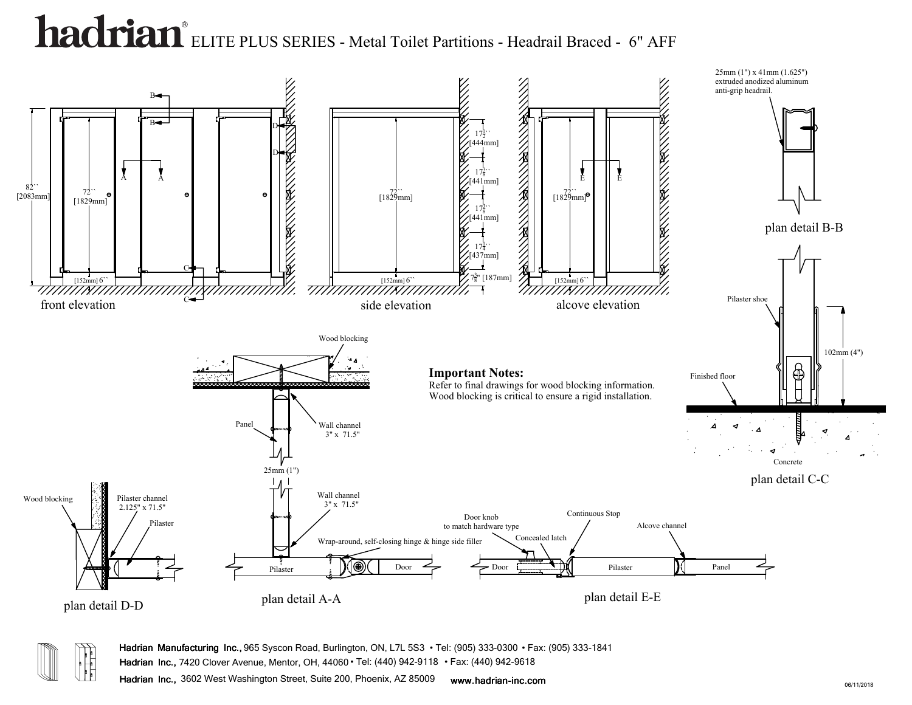



**Hadrian Manufacturing Inc.,** 965 Syscon Road, Burlington, ON, L7L 5S3 • Tel: (905) 333-0300 • Fax: (905) 333-1841

**Hadrian Inc.,** 7420 Clover Avenue, Mentor, OH, 44060 • Tel: (440) 942-9118 • Fax: (440) 942-9618

**Hadrian Inc.,** 3602 West Washington Street, Suite 200, Phoenix, AZ 85009 **www.hadrian-inc.com**